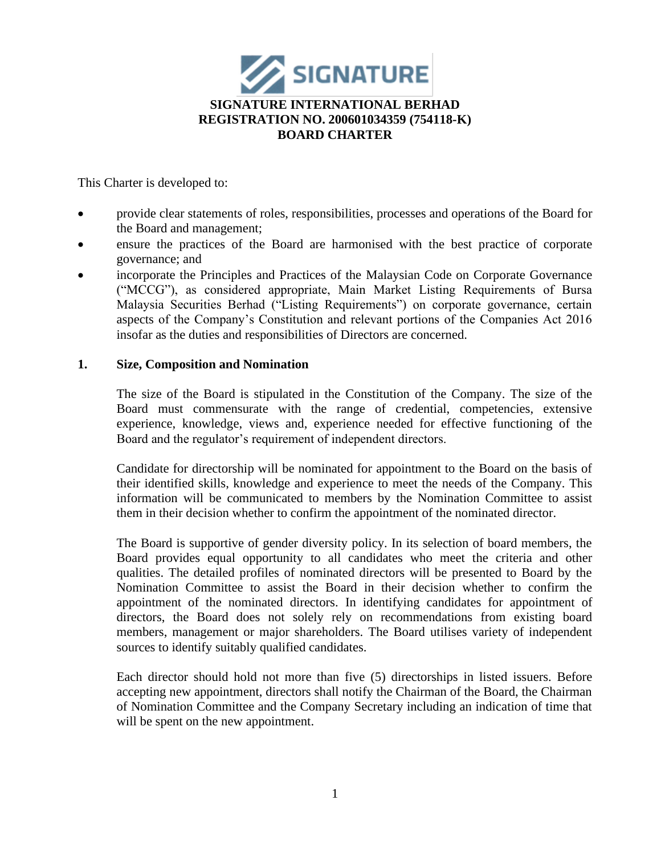

This Charter is developed to:

- provide clear statements of roles, responsibilities, processes and operations of the Board for the Board and management;
- ensure the practices of the Board are harmonised with the best practice of corporate governance; and
- incorporate the Principles and Practices of the Malaysian Code on Corporate Governance ("MCCG"), as considered appropriate, Main Market Listing Requirements of Bursa Malaysia Securities Berhad ("Listing Requirements") on corporate governance, certain aspects of the Company's Constitution and relevant portions of the Companies Act 2016 insofar as the duties and responsibilities of Directors are concerned.

## **1. Size, Composition and Nomination**

The size of the Board is stipulated in the Constitution of the Company. The size of the Board must commensurate with the range of credential, competencies, extensive experience, knowledge, views and, experience needed for effective functioning of the Board and the regulator's requirement of independent directors.

Candidate for directorship will be nominated for appointment to the Board on the basis of their identified skills, knowledge and experience to meet the needs of the Company. This information will be communicated to members by the Nomination Committee to assist them in their decision whether to confirm the appointment of the nominated director.

The Board is supportive of gender diversity policy. In its selection of board members, the Board provides equal opportunity to all candidates who meet the criteria and other qualities. The detailed profiles of nominated directors will be presented to Board by the Nomination Committee to assist the Board in their decision whether to confirm the appointment of the nominated directors. In identifying candidates for appointment of directors, the Board does not solely rely on recommendations from existing board members, management or major shareholders. The Board utilises variety of independent sources to identify suitably qualified candidates.

Each director should hold not more than five (5) directorships in listed issuers. Before accepting new appointment, directors shall notify the Chairman of the Board, the Chairman of Nomination Committee and the Company Secretary including an indication of time that will be spent on the new appointment.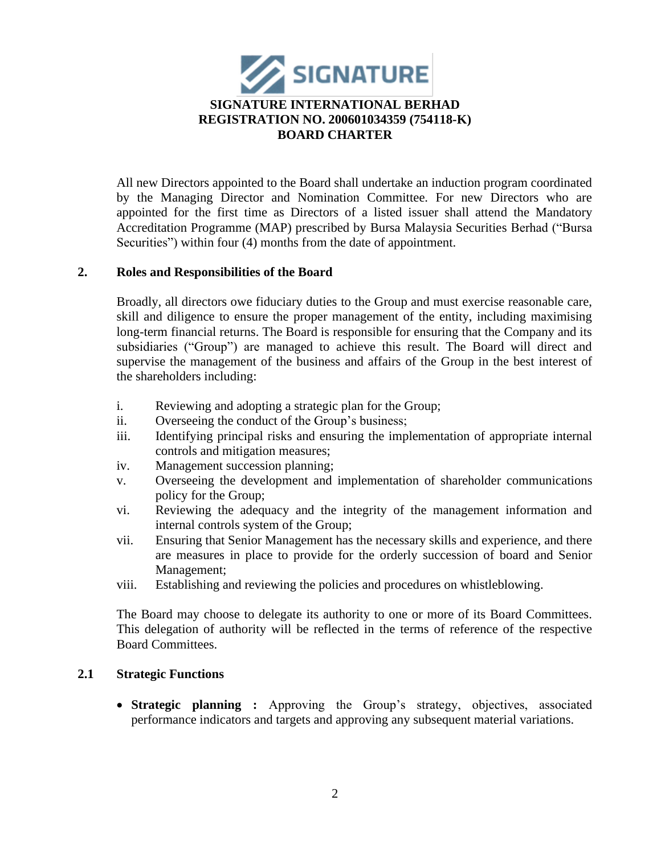

All new Directors appointed to the Board shall undertake an induction program coordinated by the Managing Director and Nomination Committee. For new Directors who are appointed for the first time as Directors of a listed issuer shall attend the Mandatory Accreditation Programme (MAP) prescribed by Bursa Malaysia Securities Berhad ("Bursa Securities") within four (4) months from the date of appointment.

## **2. Roles and Responsibilities of the Board**

Broadly, all directors owe fiduciary duties to the Group and must exercise reasonable care, skill and diligence to ensure the proper management of the entity, including maximising long-term financial returns. The Board is responsible for ensuring that the Company and its subsidiaries ("Group") are managed to achieve this result. The Board will direct and supervise the management of the business and affairs of the Group in the best interest of the shareholders including:

- i. Reviewing and adopting a strategic plan for the Group;
- ii. Overseeing the conduct of the Group's business;
- iii. Identifying principal risks and ensuring the implementation of appropriate internal controls and mitigation measures;
- iv. Management succession planning;
- v. Overseeing the development and implementation of shareholder communications policy for the Group;
- vi. Reviewing the adequacy and the integrity of the management information and internal controls system of the Group;
- vii. Ensuring that Senior Management has the necessary skills and experience, and there are measures in place to provide for the orderly succession of board and Senior Management;
- viii. Establishing and reviewing the policies and procedures on whistleblowing.

The Board may choose to delegate its authority to one or more of its Board Committees. This delegation of authority will be reflected in the terms of reference of the respective Board Committees.

## **2.1 Strategic Functions**

• **Strategic planning :** Approving the Group's strategy, objectives, associated performance indicators and targets and approving any subsequent material variations.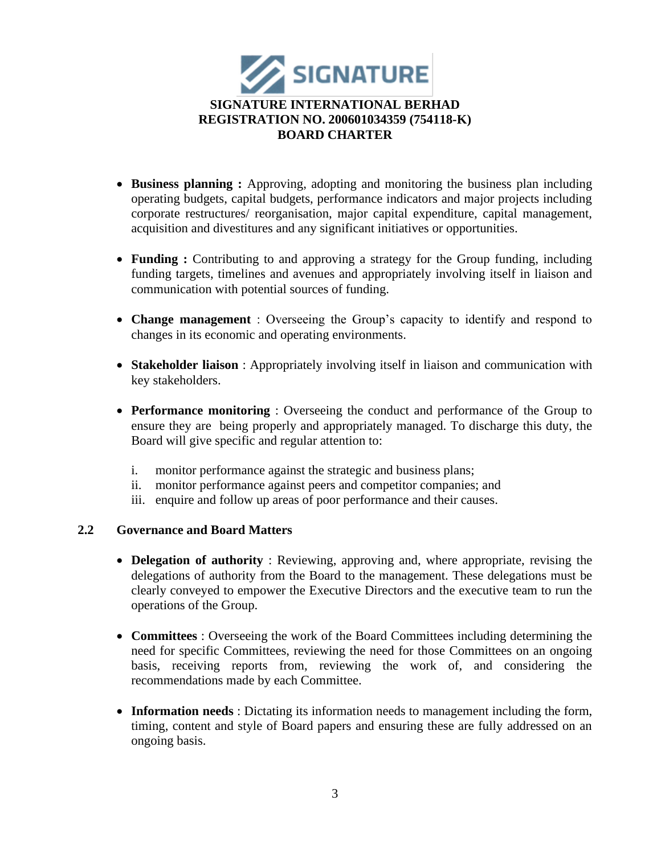

- **Business planning :** Approving, adopting and monitoring the business plan including operating budgets, capital budgets, performance indicators and major projects including corporate restructures/ reorganisation, major capital expenditure, capital management, acquisition and divestitures and any significant initiatives or opportunities.
- **Funding :** Contributing to and approving a strategy for the Group funding, including funding targets, timelines and avenues and appropriately involving itself in liaison and communication with potential sources of funding.
- **Change management** : Overseeing the Group's capacity to identify and respond to changes in its economic and operating environments.
- **Stakeholder liaison** : Appropriately involving itself in liaison and communication with key stakeholders.
- **Performance monitoring** : Overseeing the conduct and performance of the Group to ensure they are being properly and appropriately managed. To discharge this duty, the Board will give specific and regular attention to:
	- i. monitor performance against the strategic and business plans;
	- ii. monitor performance against peers and competitor companies; and
	- iii. enquire and follow up areas of poor performance and their causes.

# **2.2 Governance and Board Matters**

- **Delegation of authority** : Reviewing, approving and, where appropriate, revising the delegations of authority from the Board to the management. These delegations must be clearly conveyed to empower the Executive Directors and the executive team to run the operations of the Group.
- **Committees** : Overseeing the work of the Board Committees including determining the need for specific Committees, reviewing the need for those Committees on an ongoing basis, receiving reports from, reviewing the work of, and considering the recommendations made by each Committee.
- **Information needs** : Dictating its information needs to management including the form, timing, content and style of Board papers and ensuring these are fully addressed on an ongoing basis.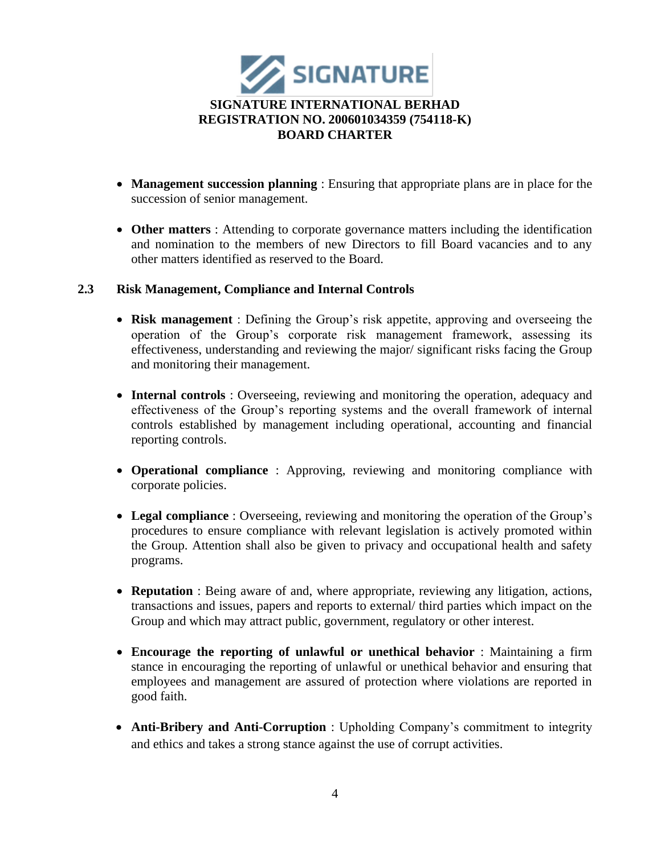

- **Management succession planning** : Ensuring that appropriate plans are in place for the succession of senior management.
- **Other matters** : Attending to corporate governance matters including the identification and nomination to the members of new Directors to fill Board vacancies and to any other matters identified as reserved to the Board.

## **2.3 Risk Management, Compliance and Internal Controls**

- **Risk management** : Defining the Group's risk appetite, approving and overseeing the operation of the Group's corporate risk management framework, assessing its effectiveness, understanding and reviewing the major/ significant risks facing the Group and monitoring their management.
- **Internal controls** : Overseeing, reviewing and monitoring the operation, adequacy and effectiveness of the Group's reporting systems and the overall framework of internal controls established by management including operational, accounting and financial reporting controls.
- **Operational compliance** : Approving, reviewing and monitoring compliance with corporate policies.
- **Legal compliance** : Overseeing, reviewing and monitoring the operation of the Group's procedures to ensure compliance with relevant legislation is actively promoted within the Group. Attention shall also be given to privacy and occupational health and safety programs.
- **Reputation** : Being aware of and, where appropriate, reviewing any litigation, actions, transactions and issues, papers and reports to external/ third parties which impact on the Group and which may attract public, government, regulatory or other interest.
- **Encourage the reporting of unlawful or unethical behavior** : Maintaining a firm stance in encouraging the reporting of unlawful or unethical behavior and ensuring that employees and management are assured of protection where violations are reported in good faith.
- **Anti-Bribery and Anti-Corruption** : Upholding Company's commitment to integrity and ethics and takes a strong stance against the use of corrupt activities.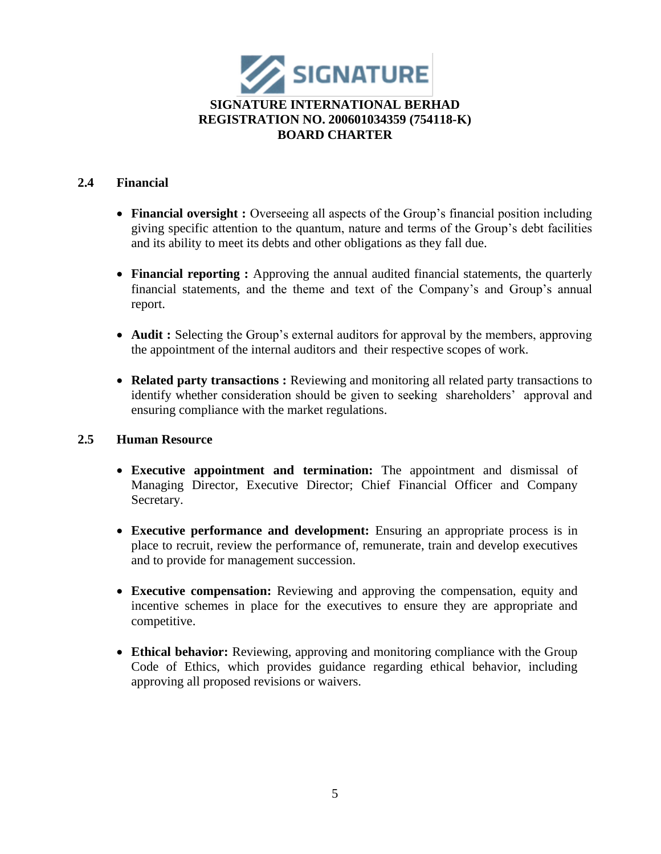

## **2.4 Financial**

- **Financial oversight :** Overseeing all aspects of the Group's financial position including giving specific attention to the quantum, nature and terms of the Group's debt facilities and its ability to meet its debts and other obligations as they fall due.
- **Financial reporting :** Approving the annual audited financial statements, the quarterly financial statements, and the theme and text of the Company's and Group's annual report.
- **Audit :** Selecting the Group's external auditors for approval by the members, approving the appointment of the internal auditors and their respective scopes of work.
- **Related party transactions :** Reviewing and monitoring all related party transactions to identify whether consideration should be given to seeking shareholders' approval and ensuring compliance with the market regulations.

## **2.5 Human Resource**

- **Executive appointment and termination:** The appointment and dismissal of Managing Director, Executive Director; Chief Financial Officer and Company Secretary.
- **Executive performance and development:** Ensuring an appropriate process is in place to recruit, review the performance of, remunerate, train and develop executives and to provide for management succession.
- **Executive compensation:** Reviewing and approving the compensation, equity and incentive schemes in place for the executives to ensure they are appropriate and competitive.
- **Ethical behavior:** Reviewing, approving and monitoring compliance with the Group Code of Ethics, which provides guidance regarding ethical behavior, including approving all proposed revisions or waivers.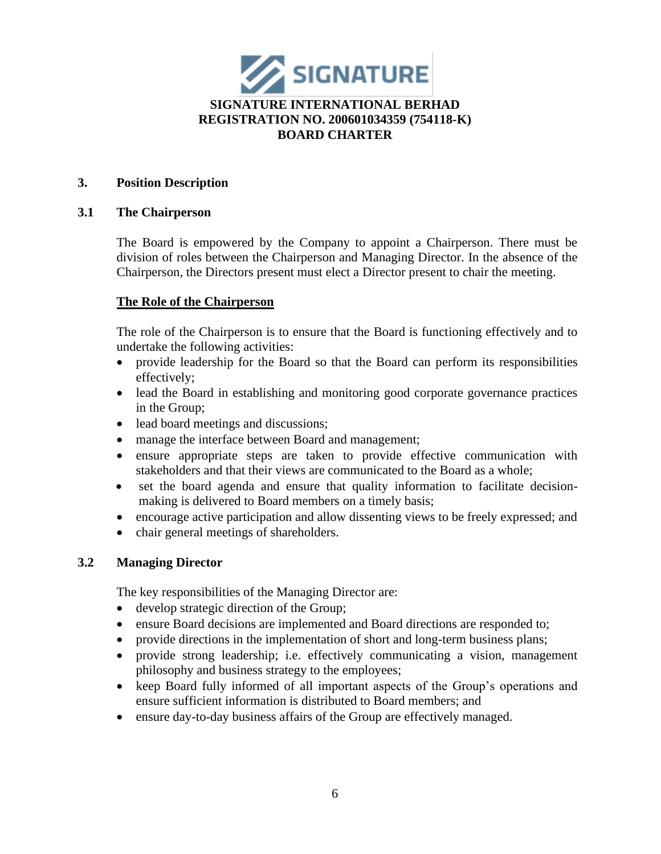

## **3. Position Description**

### **3.1 The Chairperson**

The Board is empowered by the Company to appoint a Chairperson. There must be division of roles between the Chairperson and Managing Director. In the absence of the Chairperson, the Directors present must elect a Director present to chair the meeting.

### **The Role of the Chairperson**

The role of the Chairperson is to ensure that the Board is functioning effectively and to undertake the following activities:

- provide leadership for the Board so that the Board can perform its responsibilities effectively;
- lead the Board in establishing and monitoring good corporate governance practices in the Group;
- lead board meetings and discussions;
- manage the interface between Board and management;
- ensure appropriate steps are taken to provide effective communication with stakeholders and that their views are communicated to the Board as a whole;
- set the board agenda and ensure that quality information to facilitate decisionmaking is delivered to Board members on a timely basis;
- encourage active participation and allow dissenting views to be freely expressed; and
- chair general meetings of shareholders.

## **3.2 Managing Director**

The key responsibilities of the Managing Director are:

- develop strategic direction of the Group;
- ensure Board decisions are implemented and Board directions are responded to;
- provide directions in the implementation of short and long-term business plans;
- provide strong leadership; i.e. effectively communicating a vision, management philosophy and business strategy to the employees;
- keep Board fully informed of all important aspects of the Group's operations and ensure sufficient information is distributed to Board members; and
- ensure day-to-day business affairs of the Group are effectively managed.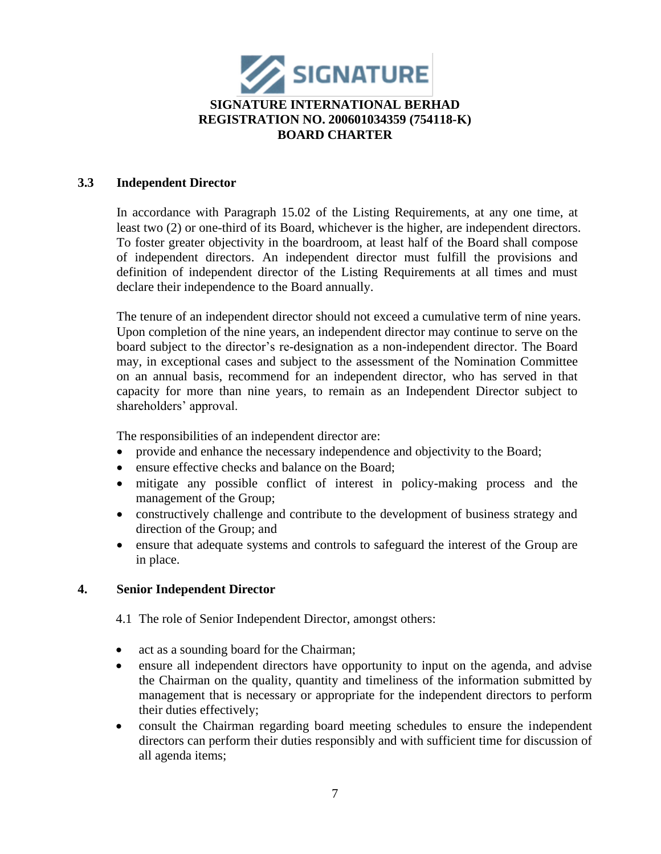

## **3.3 Independent Director**

In accordance with Paragraph 15.02 of the Listing Requirements, at any one time, at least two (2) or one-third of its Board, whichever is the higher, are independent directors. To foster greater objectivity in the boardroom, at least half of the Board shall compose of independent directors. An independent director must fulfill the provisions and definition of independent director of the Listing Requirements at all times and must declare their independence to the Board annually.

The tenure of an independent director should not exceed a cumulative term of nine years. Upon completion of the nine years, an independent director may continue to serve on the board subject to the director's re-designation as a non-independent director. The Board may, in exceptional cases and subject to the assessment of the Nomination Committee on an annual basis, recommend for an independent director, who has served in that capacity for more than nine years, to remain as an Independent Director subject to shareholders' approval.

The responsibilities of an independent director are:

- provide and enhance the necessary independence and objectivity to the Board;
- ensure effective checks and balance on the Board;
- mitigate any possible conflict of interest in policy-making process and the management of the Group;
- constructively challenge and contribute to the development of business strategy and direction of the Group; and
- ensure that adequate systems and controls to safeguard the interest of the Group are in place.

## **4. Senior Independent Director**

4.1 The role of Senior Independent Director, amongst others:

- act as a sounding board for the Chairman;
- ensure all independent directors have opportunity to input on the agenda, and advise the Chairman on the quality, quantity and timeliness of the information submitted by management that is necessary or appropriate for the independent directors to perform their duties effectively;
- consult the Chairman regarding board meeting schedules to ensure the independent directors can perform their duties responsibly and with sufficient time for discussion of all agenda items;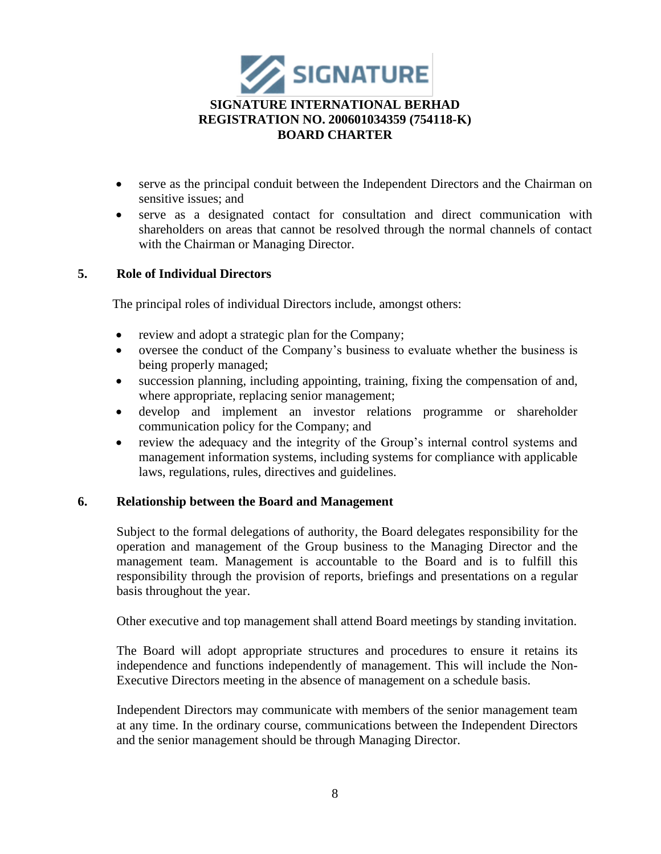

- serve as the principal conduit between the Independent Directors and the Chairman on sensitive issues; and
- serve as a designated contact for consultation and direct communication with shareholders on areas that cannot be resolved through the normal channels of contact with the Chairman or Managing Director.

## **5. Role of Individual Directors**

The principal roles of individual Directors include, amongst others:

- review and adopt a strategic plan for the Company;
- oversee the conduct of the Company's business to evaluate whether the business is being properly managed;
- succession planning, including appointing, training, fixing the compensation of and, where appropriate, replacing senior management;
- develop and implement an investor relations programme or shareholder communication policy for the Company; and
- review the adequacy and the integrity of the Group's internal control systems and management information systems, including systems for compliance with applicable laws, regulations, rules, directives and guidelines.

#### **6. Relationship between the Board and Management**

Subject to the formal delegations of authority, the Board delegates responsibility for the operation and management of the Group business to the Managing Director and the management team. Management is accountable to the Board and is to fulfill this responsibility through the provision of reports, briefings and presentations on a regular basis throughout the year.

Other executive and top management shall attend Board meetings by standing invitation.

The Board will adopt appropriate structures and procedures to ensure it retains its independence and functions independently of management. This will include the Non-Executive Directors meeting in the absence of management on a schedule basis.

Independent Directors may communicate with members of the senior management team at any time. In the ordinary course, communications between the Independent Directors and the senior management should be through Managing Director.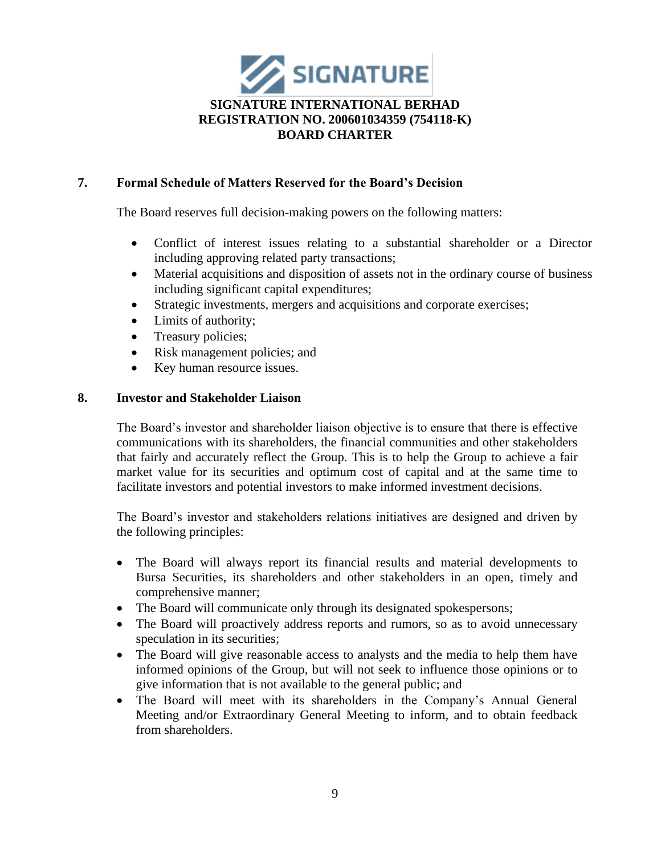

# **7. Formal Schedule of Matters Reserved for the Board's Decision**

The Board reserves full decision-making powers on the following matters:

- Conflict of interest issues relating to a substantial shareholder or a Director including approving related party transactions;
- Material acquisitions and disposition of assets not in the ordinary course of business including significant capital expenditures;
- Strategic investments, mergers and acquisitions and corporate exercises;
- Limits of authority;
- Treasury policies;
- Risk management policies; and
- Key human resource issues.

## **8. Investor and Stakeholder Liaison**

The Board's investor and shareholder liaison objective is to ensure that there is effective communications with its shareholders, the financial communities and other stakeholders that fairly and accurately reflect the Group. This is to help the Group to achieve a fair market value for its securities and optimum cost of capital and at the same time to facilitate investors and potential investors to make informed investment decisions.

The Board's investor and stakeholders relations initiatives are designed and driven by the following principles:

- The Board will always report its financial results and material developments to Bursa Securities, its shareholders and other stakeholders in an open, timely and comprehensive manner;
- The Board will communicate only through its designated spokespersons;
- The Board will proactively address reports and rumors, so as to avoid unnecessary speculation in its securities;
- The Board will give reasonable access to analysts and the media to help them have informed opinions of the Group, but will not seek to influence those opinions or to give information that is not available to the general public; and
- The Board will meet with its shareholders in the Company's Annual General Meeting and/or Extraordinary General Meeting to inform, and to obtain feedback from shareholders.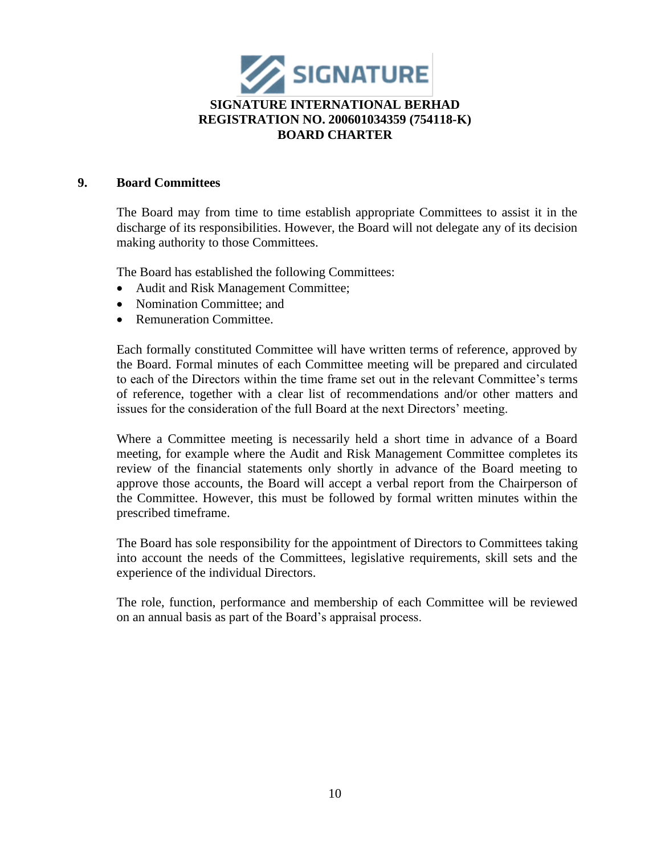

#### **9. Board Committees**

The Board may from time to time establish appropriate Committees to assist it in the discharge of its responsibilities. However, the Board will not delegate any of its decision making authority to those Committees.

The Board has established the following Committees:

- Audit and Risk Management Committee;
- Nomination Committee: and
- Remuneration Committee.

Each formally constituted Committee will have written terms of reference, approved by the Board. Formal minutes of each Committee meeting will be prepared and circulated to each of the Directors within the time frame set out in the relevant Committee's terms of reference, together with a clear list of recommendations and/or other matters and issues for the consideration of the full Board at the next Directors' meeting.

Where a Committee meeting is necessarily held a short time in advance of a Board meeting, for example where the Audit and Risk Management Committee completes its review of the financial statements only shortly in advance of the Board meeting to approve those accounts, the Board will accept a verbal report from the Chairperson of the Committee. However, this must be followed by formal written minutes within the prescribed timeframe.

The Board has sole responsibility for the appointment of Directors to Committees taking into account the needs of the Committees, legislative requirements, skill sets and the experience of the individual Directors.

The role, function, performance and membership of each Committee will be reviewed on an annual basis as part of the Board's appraisal process.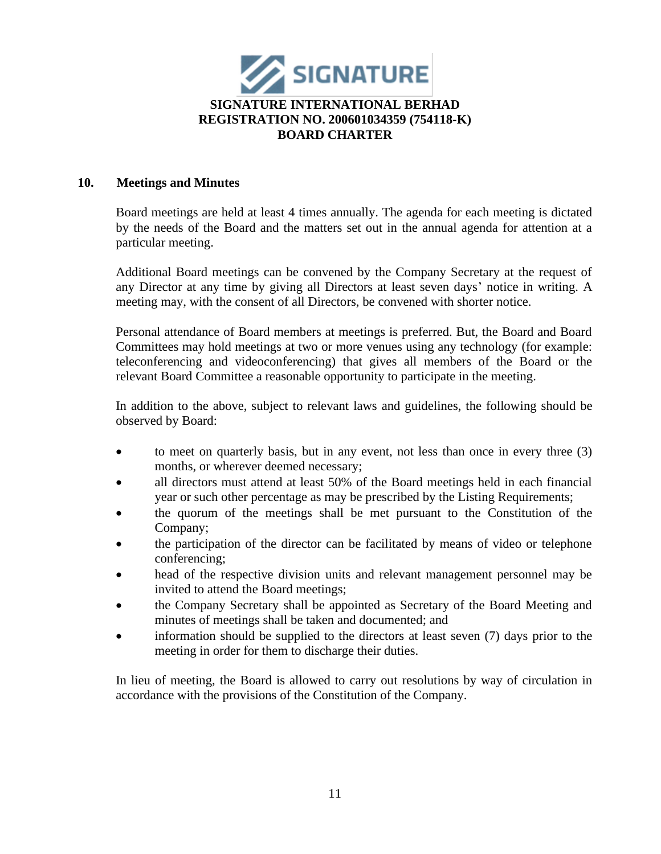

## **10. Meetings and Minutes**

Board meetings are held at least 4 times annually. The agenda for each meeting is dictated by the needs of the Board and the matters set out in the annual agenda for attention at a particular meeting.

Additional Board meetings can be convened by the Company Secretary at the request of any Director at any time by giving all Directors at least seven days' notice in writing. A meeting may, with the consent of all Directors, be convened with shorter notice.

Personal attendance of Board members at meetings is preferred. But, the Board and Board Committees may hold meetings at two or more venues using any technology (for example: teleconferencing and videoconferencing) that gives all members of the Board or the relevant Board Committee a reasonable opportunity to participate in the meeting.

In addition to the above, subject to relevant laws and guidelines, the following should be observed by Board:

- to meet on quarterly basis, but in any event, not less than once in every three (3) months, or wherever deemed necessary;
- all directors must attend at least 50% of the Board meetings held in each financial year or such other percentage as may be prescribed by the Listing Requirements;
- the quorum of the meetings shall be met pursuant to the Constitution of the Company;
- the participation of the director can be facilitated by means of video or telephone conferencing;
- head of the respective division units and relevant management personnel may be invited to attend the Board meetings;
- the Company Secretary shall be appointed as Secretary of the Board Meeting and minutes of meetings shall be taken and documented; and
- information should be supplied to the directors at least seven (7) days prior to the meeting in order for them to discharge their duties.

In lieu of meeting, the Board is allowed to carry out resolutions by way of circulation in accordance with the provisions of the Constitution of the Company.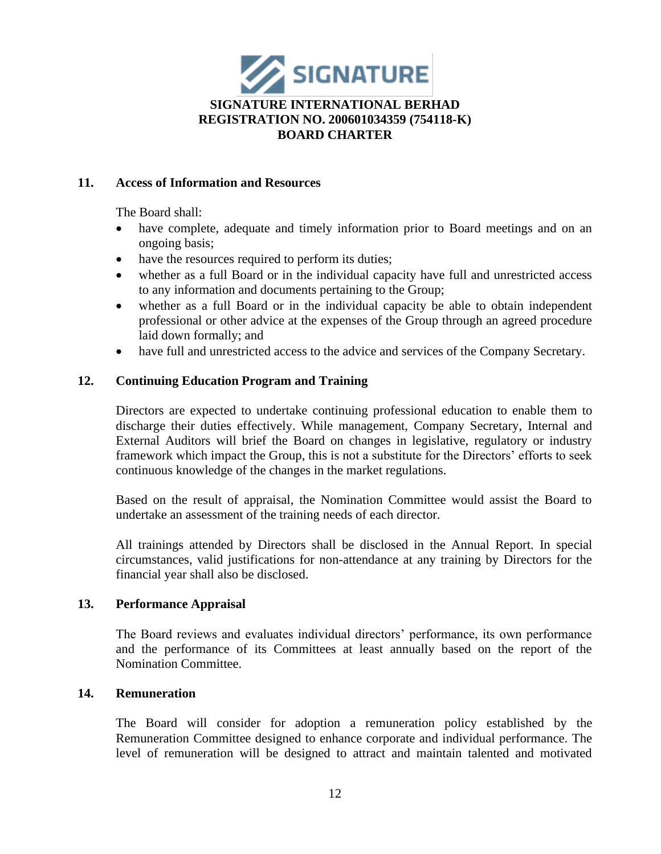

### **11. Access of Information and Resources**

The Board shall:

- have complete, adequate and timely information prior to Board meetings and on an ongoing basis;
- have the resources required to perform its duties;
- whether as a full Board or in the individual capacity have full and unrestricted access to any information and documents pertaining to the Group;
- whether as a full Board or in the individual capacity be able to obtain independent professional or other advice at the expenses of the Group through an agreed procedure laid down formally; and
- have full and unrestricted access to the advice and services of the Company Secretary.

## **12. Continuing Education Program and Training**

Directors are expected to undertake continuing professional education to enable them to discharge their duties effectively. While management, Company Secretary, Internal and External Auditors will brief the Board on changes in legislative, regulatory or industry framework which impact the Group, this is not a substitute for the Directors' efforts to seek continuous knowledge of the changes in the market regulations.

Based on the result of appraisal, the Nomination Committee would assist the Board to undertake an assessment of the training needs of each director.

All trainings attended by Directors shall be disclosed in the Annual Report. In special circumstances, valid justifications for non-attendance at any training by Directors for the financial year shall also be disclosed.

## **13. Performance Appraisal**

The Board reviews and evaluates individual directors' performance, its own performance and the performance of its Committees at least annually based on the report of the Nomination Committee.

# **14. Remuneration**

The Board will consider for adoption a remuneration policy established by the Remuneration Committee designed to enhance corporate and individual performance. The level of remuneration will be designed to attract and maintain talented and motivated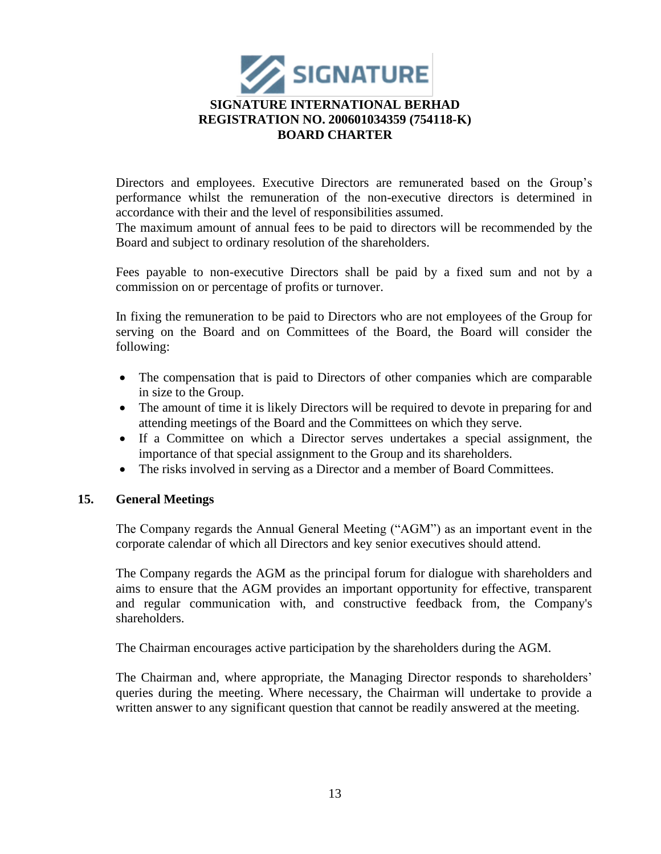

Directors and employees. Executive Directors are remunerated based on the Group's performance whilst the remuneration of the non-executive directors is determined in accordance with their and the level of responsibilities assumed.

The maximum amount of annual fees to be paid to directors will be recommended by the Board and subject to ordinary resolution of the shareholders.

Fees payable to non-executive Directors shall be paid by a fixed sum and not by a commission on or percentage of profits or turnover.

In fixing the remuneration to be paid to Directors who are not employees of the Group for serving on the Board and on Committees of the Board, the Board will consider the following:

- The compensation that is paid to Directors of other companies which are comparable in size to the Group.
- The amount of time it is likely Directors will be required to devote in preparing for and attending meetings of the Board and the Committees on which they serve.
- If a Committee on which a Director serves undertakes a special assignment, the importance of that special assignment to the Group and its shareholders.
- The risks involved in serving as a Director and a member of Board Committees.

## **15. General Meetings**

The Company regards the Annual General Meeting ("AGM") as an important event in the corporate calendar of which all Directors and key senior executives should attend.

The Company regards the AGM as the principal forum for dialogue with shareholders and aims to ensure that the AGM provides an important opportunity for effective, transparent and regular communication with, and constructive feedback from, the Company's shareholders.

The Chairman encourages active participation by the shareholders during the AGM.

The Chairman and, where appropriate, the Managing Director responds to shareholders' queries during the meeting. Where necessary, the Chairman will undertake to provide a written answer to any significant question that cannot be readily answered at the meeting.